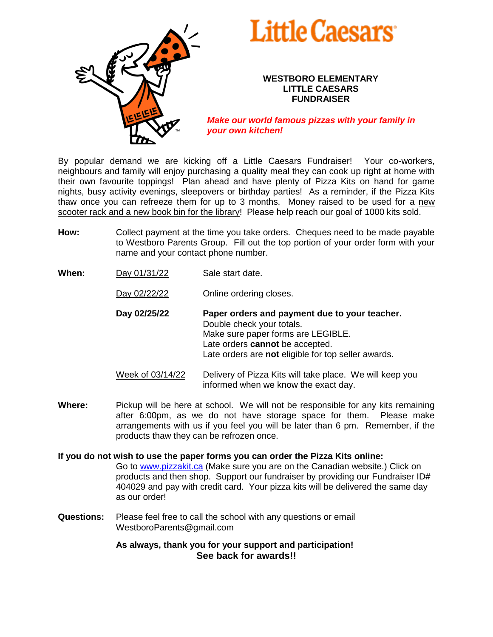

## **Little Caesars**

## **WESTBORO ELEMENTARY LITTLE CAESARS FUNDRAISER**

*Make our world famous pizzas with your family in your own kitchen!*

By popular demand we are kicking off a Little Caesars Fundraiser! Your co-workers, neighbours and family will enjoy purchasing a quality meal they can cook up right at home with their own favourite toppings! Plan ahead and have plenty of Pizza Kits on hand for game nights, busy activity evenings, sleepovers or birthday parties! As a reminder, if the Pizza Kits thaw once you can refreeze them for up to 3 months. Money raised to be used for a new scooter rack and a new book bin for the library! Please help reach our goal of 1000 kits sold.

- **How:** Collect payment at the time you take orders. Cheques need to be made payable to Westboro Parents Group. Fill out the top portion of your order form with your name and your contact phone number.
- **When:** Day 01/31/22 Sale start date.
	- Day 02/22/22 **Online ordering closes.**
	- **Day 02/25/22 Paper orders and payment due to your teacher.** Double check your totals. Make sure paper forms are LEGIBLE. Late orders **cannot** be accepted. Late orders are **not** eligible for top seller awards.

Week of 03/14/22 Delivery of Pizza Kits will take place. We will keep you informed when we know the exact day.

**Where:** Pickup will be here at school. We will not be responsible for any kits remaining after 6:00pm, as we do not have storage space for them. Please make arrangements with us if you feel you will be later than 6 pm. Remember, if the products thaw they can be refrozen once.

**If you do not wish to use the paper forms you can order the Pizza Kits online:**

Go to [www.pizzakit.ca](http://www.pizzakit.ca/) (Make sure you are on the Canadian website.) Click on products and then shop. Support our fundraiser by providing our Fundraiser ID# 404029 and pay with credit card. Your pizza kits will be delivered the same day as our order!

**Questions:** Please feel free to call the school with any questions or email WestboroParents@gmail.com

> **As always, thank you for your support and participation! See back for awards!!**